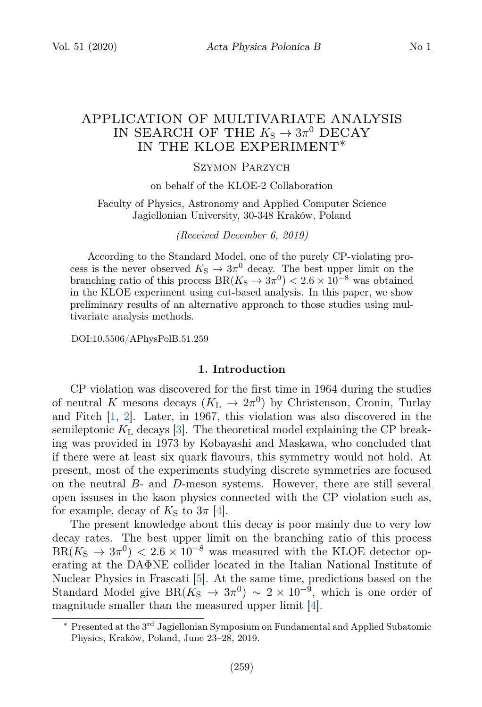## APPLICATION OF MULTIVARIATE ANALYSIS IN SEARCH OF THE  $K_S \to 3\pi^0$  DECAY IN THE KLOE EXPERIMENT∗

## Szymon Parzych

#### on behalf of the KLOE-2 Collaboration

Faculty of Physics, Astronomy and Applied Computer Science Jagiellonian University, 30-348 Kraków, Poland

(Received December 6, 2019)

According to the Standard Model, one of the purely CP-violating process is the never observed  $K_{\rm S} \rightarrow 3\pi^0$  decay. The best upper limit on the branching ratio of this process  $BR(K_S \to 3\pi^0) < 2.6 \times 10^{-8}$  was obtained in the KLOE experiment using cut-based analysis. In this paper, we show preliminary results of an alternative approach to those studies using multivariate analysis methods.

DOI:10.5506/APhysPolB.51.259

#### 1. Introduction

CP violation was discovered for the first time in 1964 during the studies of neutral K mesons decays  $(K_L \to 2\pi^0)$  by Christenson, Cronin, Turlay and Fitch [\[1,](#page-3-0) [2\]](#page-3-1). Later, in 1967, this violation was also discovered in the semileptonic  $K<sub>L</sub>$  decays [\[3\]](#page-3-2). The theoretical model explaining the CP breaking was provided in 1973 by Kobayashi and Maskawa, who concluded that if there were at least six quark flavours, this symmetry would not hold. At present, most of the experiments studying discrete symmetries are focused on the neutral  $B$ - and  $D$ -meson systems. However, there are still several open issuses in the kaon physics connected with the CP violation such as, for example, decay of  $K<sub>S</sub>$  to  $3\pi$  [\[4\]](#page-3-3).

The present knowledge about this decay is poor mainly due to very low decay rates. The best upper limit on the branching ratio of this process  $BR(K_{\rm S} \rightarrow 3\pi^0) < 2.6 \times 10^{-8}$  was measured with the KLOE detector operating at the DAΦNE collider located in the Italian National Institute of Nuclear Physics in Frascati [\[5\]](#page-3-4). At the same time, predictions based on the Standard Model give  $BR(K_S \to 3\pi^0) \sim 2 \times 10^{-9}$ , which is one order of magnitude smaller than the measured upper limit [\[4\]](#page-3-3).

<sup>∗</sup> Presented at the 3 rd Jagiellonian Symposium on Fundamental and Applied Subatomic Physics, Kraków, Poland, June 23–28, 2019.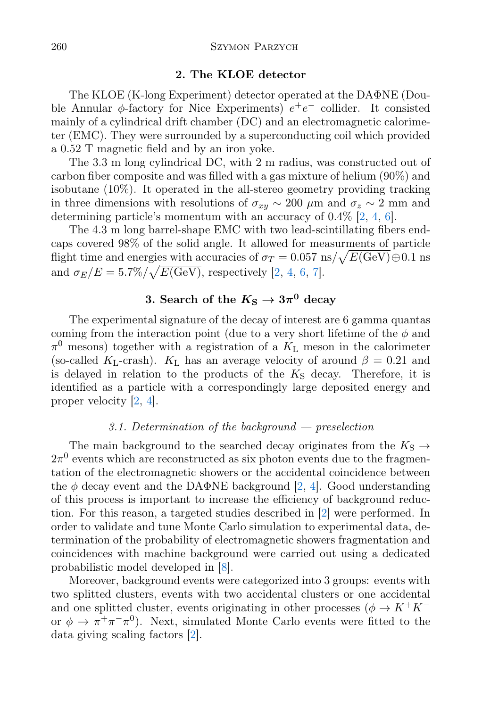### 2. The KLOE detector

The KLOE (K-long Experiment) detector operated at the DAΦNE (Double Annular  $\phi$ -factory for Nice Experiments)  $e^+e^-$  collider. It consisted mainly of a cylindrical drift chamber (DC) and an electromagnetic calorimeter (EMC). They were surrounded by a superconducting coil which provided a 0.52 T magnetic field and by an iron yoke.

The 3.3 m long cylindrical DC, with 2 m radius, was constructed out of carbon fiber composite and was filled with a gas mixture of helium (90%) and isobutane (10%). It operated in the all-stereo geometry providing tracking in three dimensions with resolutions of  $\sigma_{xy} \sim 200 \mu m$  and  $\sigma_z \sim 2 \mu m$  and determining particle's momentum with an accuracy of  $0.4\%$  [\[2,](#page-3-1) [4,](#page-3-3) [6\]](#page-3-5).

The 4.3 m long barrel-shape EMC with two lead-scintillating fibers endcaps covered 98% of the solid angle. It allowed for measurments of particle flight time and energies with accuracies of  $\sigma_T = 0.057 \text{ ns}/\sqrt{E(\text{GeV})} \oplus 0.1 \text{ ns}$ and  $\sigma_E/E = 5.7\% / \sqrt{E(\text{GeV})}$ , respectively [\[2,](#page-3-1) [4,](#page-3-3) [6,](#page-3-5) [7\]](#page-3-6).

# 3. Search of the  $K_{\rm S} \rightarrow 3\pi^0$  decay

The experimental signature of the decay of interest are 6 gamma quantas coming from the interaction point (due to a very short lifetime of the  $\phi$  and  $\pi^0$  mesons) together with a registration of a  $K_{\text{L}}$  meson in the calorimeter (so-called K<sub>L</sub>-crash). K<sub>L</sub> has an average velocity of around  $\beta = 0.21$  and is delayed in relation to the products of the  $K<sub>S</sub>$  decay. Therefore, it is identified as a particle with a correspondingly large deposited energy and proper velocity [\[2,](#page-3-1) [4\]](#page-3-3).

#### 3.1. Determination of the background  $-$  preselection

The main background to the searched decay originates from the  $K_S \rightarrow$  $2\pi^0$  events which are reconstructed as six photon events due to the fragmentation of the electromagnetic showers or the accidental coincidence between the  $\phi$  decay event and the DAΦNE background [\[2,](#page-3-1) [4\]](#page-3-3). Good understanding of this process is important to increase the efficiency of background reduction. For this reason, a targeted studies described in [\[2\]](#page-3-1) were performed. In order to validate and tune Monte Carlo simulation to experimental data, determination of the probability of electromagnetic showers fragmentation and coincidences with machine background were carried out using a dedicated probabilistic model developed in [\[8\]](#page-3-7).

Moreover, background events were categorized into 3 groups: events with two splitted clusters, events with two accidental clusters or one accidental and one splitted cluster, events originating in other processes ( $\phi \rightarrow K^+K^$ or  $\phi \to \pi^+\pi^-\pi^0$ ). Next, simulated Monte Carlo events were fitted to the data giving scaling factors [\[2\]](#page-3-1).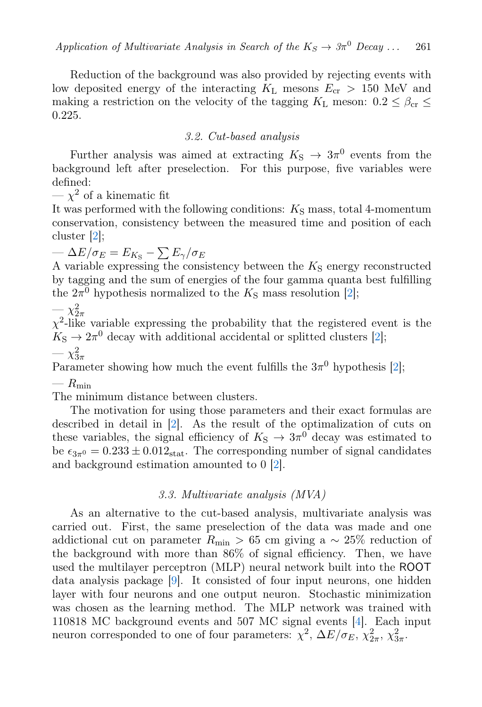Reduction of the background was also provided by rejecting events with low deposited energy of the interacting  $K<sub>L</sub>$  mesons  $E<sub>cr</sub> > 150$  MeV and making a restriction on the velocity of the tagging  $K_{\text{L}}$  meson:  $0.2 \leq \beta_{\text{cr}} \leq$ 0.225.

### 3.2. Cut-based analysis

Further analysis was aimed at extracting  $K_{\rm S} \rightarrow 3\pi^0$  events from the background left after preselection. For this purpose, five variables were defined:

 $-\chi^2$  of a kinematic fit

It was performed with the following conditions:  $K<sub>S</sub>$  mass, total 4-momentum conservation, consistency between the measured time and position of each cluster [\[2\]](#page-3-1);

 $-\Delta E/\sigma_E = E_{K_\mathrm{S}} - \sum E_\gamma/\sigma_E$ 

A variable expressing the consistency between the  $K<sub>S</sub>$  energy reconstructed by tagging and the sum of energies of the four gamma quanta best fulfilling the  $2\pi^0$  hypothesis normalized to the  $K_{\rm S}$  mass resolution [\[2\]](#page-3-1);

 $-\frac{\chi^2_{2\pi}}{2}$  $\chi^2$ -like variable expressing the probability that the registered event is the  $K_{\rm S} \rightarrow 2\pi^0$  decay with additional accidental or splitted clusters [\[2\]](#page-3-1);  $-\chi^2_{3\pi}$ 

Parameter showing how much the event fulfills the  $3\pi^0$  hypothesis [\[2\]](#page-3-1);

 $-R_{\rm min}$ 

The minimum distance between clusters.

The motivation for using those parameters and their exact formulas are described in detail in [\[2\]](#page-3-1). As the result of the optimalization of cuts on these variables, the signal efficiency of  $K<sub>S</sub> \rightarrow 3\pi^0$  decay was estimated to be  $\epsilon_{3\pi^0} = 0.233 \pm 0.012_{\text{stat}}$ . The corresponding number of signal candidates and background estimation amounted to 0 [\[2\]](#page-3-1).

## 3.3. Multivariate analysis (MVA)

As an alternative to the cut-based analysis, multivariate analysis was carried out. First, the same preselection of the data was made and one addictional cut on parameter  $R_{\text{min}} > 65$  cm giving a ~ 25% reduction of the background with more than 86% of signal efficiency. Then, we have used the multilayer perceptron (MLP) neural network built into the ROOT data analysis package [\[9\]](#page-3-8). It consisted of four input neurons, one hidden layer with four neurons and one output neuron. Stochastic minimization was chosen as the learning method. The MLP network was trained with 110818 MC background events and 507 MC signal events [\[4\]](#page-3-3). Each input neuron corresponded to one of four parameters:  $\chi^2$ ,  $\Delta E/\sigma_E$ ,  $\chi^2_{2\pi}$ ,  $\chi^2_{3\pi}$ .